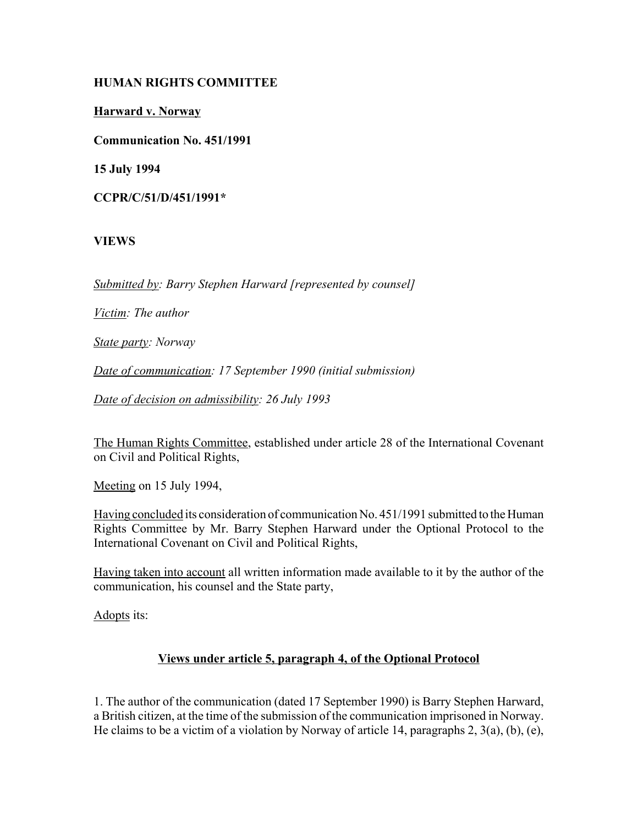### **HUMAN RIGHTS COMMITTEE**

**Harward v. Norway**

**Communication No. 451/1991**

**15 July 1994**

**CCPR/C/51/D/451/1991\***

## **VIEWS**

*Submitted by: Barry Stephen Harward [represented by counsel]*

*Victim: The author*

*State party: Norway*

*Date of communication: 17 September 1990 (initial submission)*

*Date of decision on admissibility: 26 July 1993*

The Human Rights Committee, established under article 28 of the International Covenant on Civil and Political Rights,

Meeting on 15 July 1994,

Having concluded its consideration of communication No. 451/1991 submitted to the Human Rights Committee by Mr. Barry Stephen Harward under the Optional Protocol to the International Covenant on Civil and Political Rights,

Having taken into account all written information made available to it by the author of the communication, his counsel and the State party,

Adopts its:

### **Views under article 5, paragraph 4, of the Optional Protocol**

1. The author of the communication (dated 17 September 1990) is Barry Stephen Harward, a British citizen, at the time of the submission of the communication imprisoned in Norway. He claims to be a victim of a violation by Norway of article 14, paragraphs 2, 3(a), (b), (e),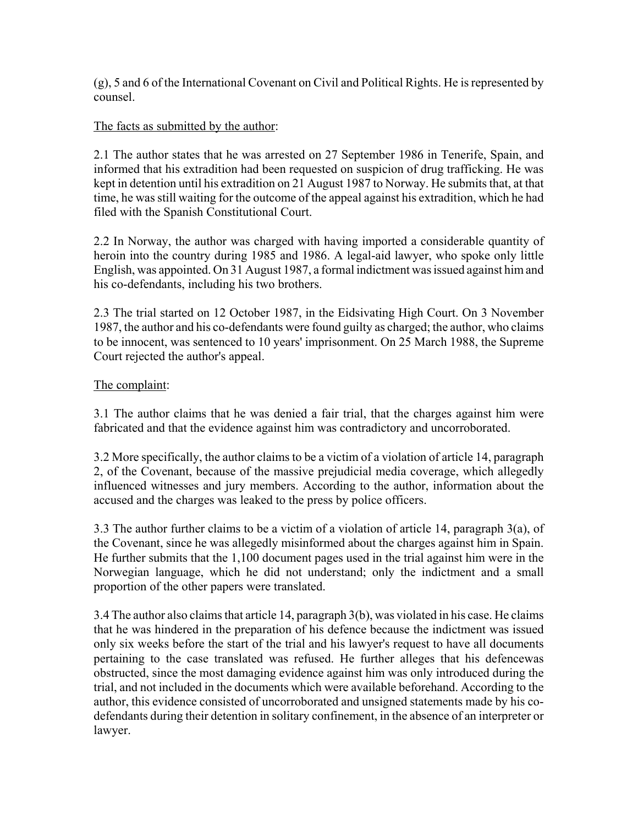(g), 5 and 6 of the International Covenant on Civil and Political Rights. He is represented by counsel.

## The facts as submitted by the author:

2.1 The author states that he was arrested on 27 September 1986 in Tenerife, Spain, and informed that his extradition had been requested on suspicion of drug trafficking. He was kept in detention until his extradition on 21 August 1987 to Norway. He submits that, at that time, he was still waiting for the outcome of the appeal against his extradition, which he had filed with the Spanish Constitutional Court.

2.2 In Norway, the author was charged with having imported a considerable quantity of heroin into the country during 1985 and 1986. A legal-aid lawyer, who spoke only little English, was appointed. On 31 August 1987, a formal indictment was issued against him and his co-defendants, including his two brothers.

2.3 The trial started on 12 October 1987, in the Eidsivating High Court. On 3 November 1987, the author and his co-defendants were found guilty as charged; the author, who claims to be innocent, was sentenced to 10 years' imprisonment. On 25 March 1988, the Supreme Court rejected the author's appeal.

# The complaint:

3.1 The author claims that he was denied a fair trial, that the charges against him were fabricated and that the evidence against him was contradictory and uncorroborated.

3.2 More specifically, the author claims to be a victim of a violation of article 14, paragraph 2, of the Covenant, because of the massive prejudicial media coverage, which allegedly influenced witnesses and jury members. According to the author, information about the accused and the charges was leaked to the press by police officers.

3.3 The author further claims to be a victim of a violation of article 14, paragraph 3(a), of the Covenant, since he was allegedly misinformed about the charges against him in Spain. He further submits that the 1,100 document pages used in the trial against him were in the Norwegian language, which he did not understand; only the indictment and a small proportion of the other papers were translated.

3.4 The author also claims that article 14, paragraph 3(b), was violated in his case. He claims that he was hindered in the preparation of his defence because the indictment was issued only six weeks before the start of the trial and his lawyer's request to have all documents pertaining to the case translated was refused. He further alleges that his defencewas obstructed, since the most damaging evidence against him was only introduced during the trial, and not included in the documents which were available beforehand. According to the author, this evidence consisted of uncorroborated and unsigned statements made by his codefendants during their detention in solitary confinement, in the absence of an interpreter or lawyer.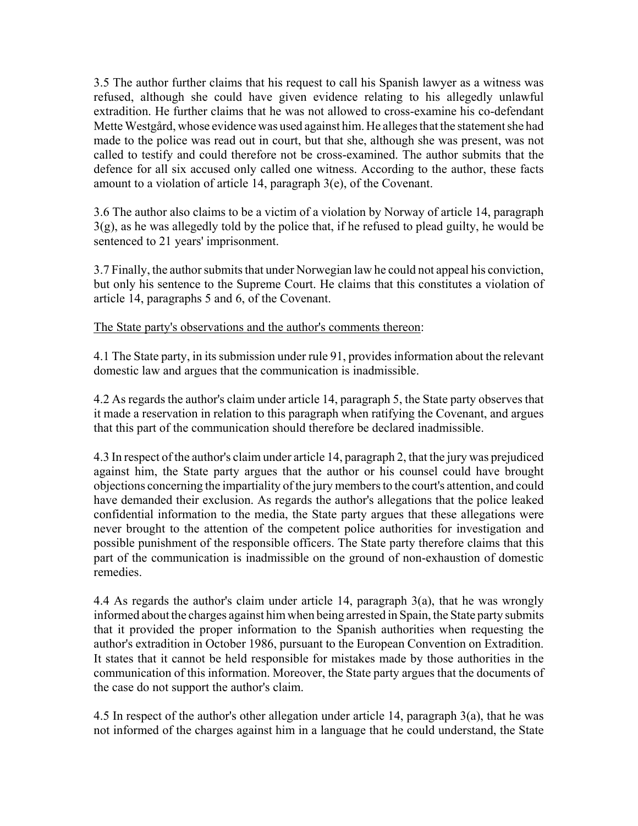3.5 The author further claims that his request to call his Spanish lawyer as a witness was refused, although she could have given evidence relating to his allegedly unlawful extradition. He further claims that he was not allowed to cross-examine his co-defendant Mette WestgÂrd, whose evidence was used against him. He alleges that the statement she had made to the police was read out in court, but that she, although she was present, was not called to testify and could therefore not be cross-examined. The author submits that the defence for all six accused only called one witness. According to the author, these facts amount to a violation of article 14, paragraph 3(e), of the Covenant.

3.6 The author also claims to be a victim of a violation by Norway of article 14, paragraph 3(g), as he was allegedly told by the police that, if he refused to plead guilty, he would be sentenced to 21 years' imprisonment.

3.7 Finally, the author submits that under Norwegian law he could not appeal his conviction, but only his sentence to the Supreme Court. He claims that this constitutes a violation of article 14, paragraphs 5 and 6, of the Covenant.

### The State party's observations and the author's comments thereon:

4.1 The State party, in its submission under rule 91, provides information about the relevant domestic law and argues that the communication is inadmissible.

4.2 As regards the author's claim under article 14, paragraph 5, the State party observes that it made a reservation in relation to this paragraph when ratifying the Covenant, and argues that this part of the communication should therefore be declared inadmissible.

4.3 In respect of the author's claim under article 14, paragraph 2, that the jury was prejudiced against him, the State party argues that the author or his counsel could have brought objections concerning the impartiality of the jury members to the court's attention, and could have demanded their exclusion. As regards the author's allegations that the police leaked confidential information to the media, the State party argues that these allegations were never brought to the attention of the competent police authorities for investigation and possible punishment of the responsible officers. The State party therefore claims that this part of the communication is inadmissible on the ground of non-exhaustion of domestic remedies.

4.4 As regards the author's claim under article 14, paragraph 3(a), that he was wrongly informed about the charges against him when being arrested in Spain, the State party submits that it provided the proper information to the Spanish authorities when requesting the author's extradition in October 1986, pursuant to the European Convention on Extradition. It states that it cannot be held responsible for mistakes made by those authorities in the communication of this information. Moreover, the State party argues that the documents of the case do not support the author's claim.

4.5 In respect of the author's other allegation under article 14, paragraph 3(a), that he was not informed of the charges against him in a language that he could understand, the State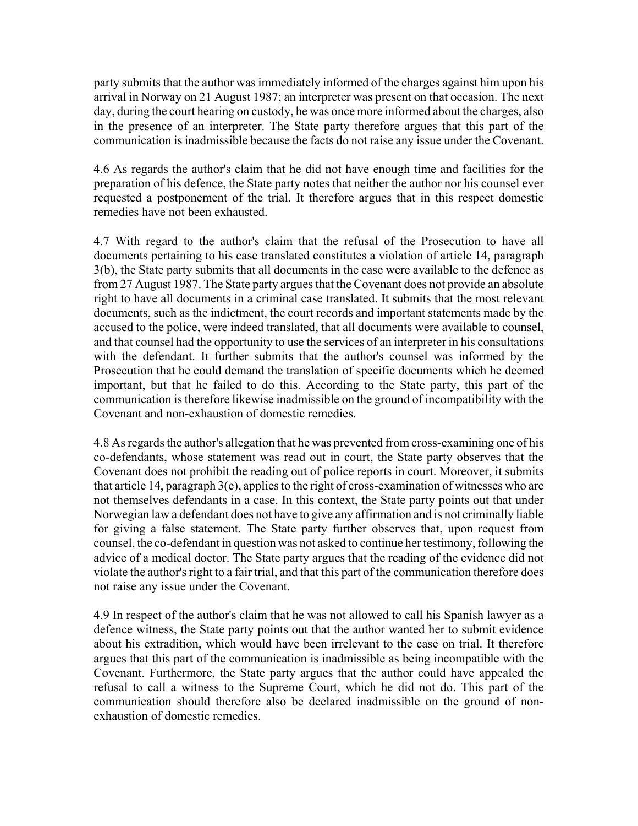party submits that the author was immediately informed of the charges against him upon his arrival in Norway on 21 August 1987; an interpreter was present on that occasion. The next day, during the court hearing on custody, he was once more informed about the charges, also in the presence of an interpreter. The State party therefore argues that this part of the communication is inadmissible because the facts do not raise any issue under the Covenant.

4.6 As regards the author's claim that he did not have enough time and facilities for the preparation of his defence, the State party notes that neither the author nor his counsel ever requested a postponement of the trial. It therefore argues that in this respect domestic remedies have not been exhausted.

4.7 With regard to the author's claim that the refusal of the Prosecution to have all documents pertaining to his case translated constitutes a violation of article 14, paragraph 3(b), the State party submits that all documents in the case were available to the defence as from 27 August 1987. The State party argues that the Covenant does not provide an absolute right to have all documents in a criminal case translated. It submits that the most relevant documents, such as the indictment, the court records and important statements made by the accused to the police, were indeed translated, that all documents were available to counsel, and that counsel had the opportunity to use the services of an interpreter in his consultations with the defendant. It further submits that the author's counsel was informed by the Prosecution that he could demand the translation of specific documents which he deemed important, but that he failed to do this. According to the State party, this part of the communication is therefore likewise inadmissible on the ground of incompatibility with the Covenant and non-exhaustion of domestic remedies.

4.8 As regards the author's allegation that he was prevented from cross-examining one of his co-defendants, whose statement was read out in court, the State party observes that the Covenant does not prohibit the reading out of police reports in court. Moreover, it submits that article 14, paragraph 3(e), applies to the right of cross-examination of witnesses who are not themselves defendants in a case. In this context, the State party points out that under Norwegian law a defendant does not have to give any affirmation and is not criminally liable for giving a false statement. The State party further observes that, upon request from counsel, the co-defendant in question was not asked to continue her testimony, following the advice of a medical doctor. The State party argues that the reading of the evidence did not violate the author's right to a fair trial, and that this part of the communication therefore does not raise any issue under the Covenant.

4.9 In respect of the author's claim that he was not allowed to call his Spanish lawyer as a defence witness, the State party points out that the author wanted her to submit evidence about his extradition, which would have been irrelevant to the case on trial. It therefore argues that this part of the communication is inadmissible as being incompatible with the Covenant. Furthermore, the State party argues that the author could have appealed the refusal to call a witness to the Supreme Court, which he did not do. This part of the communication should therefore also be declared inadmissible on the ground of nonexhaustion of domestic remedies.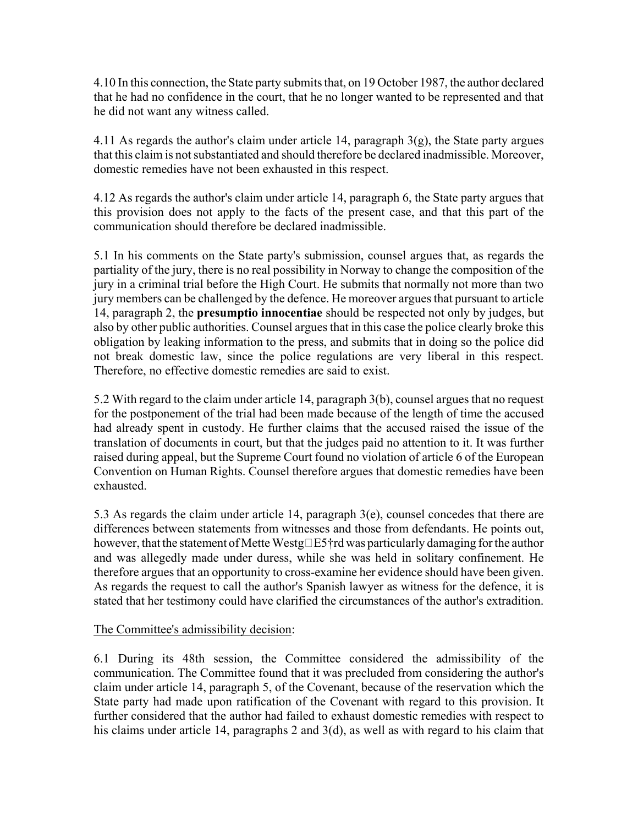4.10 In this connection, the State party submits that, on 19 October 1987, the author declared that he had no confidence in the court, that he no longer wanted to be represented and that he did not want any witness called.

4.11 As regards the author's claim under article 14, paragraph 3(g), the State party argues that this claim is not substantiated and should therefore be declared inadmissible. Moreover, domestic remedies have not been exhausted in this respect.

4.12 As regards the author's claim under article 14, paragraph 6, the State party argues that this provision does not apply to the facts of the present case, and that this part of the communication should therefore be declared inadmissible.

5.1 In his comments on the State party's submission, counsel argues that, as regards the partiality of the jury, there is no real possibility in Norway to change the composition of the jury in a criminal trial before the High Court. He submits that normally not more than two jury members can be challenged by the defence. He moreover argues that pursuant to article 14, paragraph 2, the **presumptio innocentiae** should be respected not only by judges, but also by other public authorities. Counsel argues that in this case the police clearly broke this obligation by leaking information to the press, and submits that in doing so the police did not break domestic law, since the police regulations are very liberal in this respect. Therefore, no effective domestic remedies are said to exist.

5.2 With regard to the claim under article 14, paragraph 3(b), counsel argues that no request for the postponement of the trial had been made because of the length of time the accused had already spent in custody. He further claims that the accused raised the issue of the translation of documents in court, but that the judges paid no attention to it. It was further raised during appeal, but the Supreme Court found no violation of article 6 of the European Convention on Human Rights. Counsel therefore argues that domestic remedies have been exhausted.

5.3 As regards the claim under article 14, paragraph 3(e), counsel concedes that there are differences between statements from witnesses and those from defendants. He points out, however, that the statement of Mette Westg E5<sup>†</sup>rd was particularly damaging for the author and was allegedly made under duress, while she was held in solitary confinement. He therefore argues that an opportunity to cross-examine her evidence should have been given. As regards the request to call the author's Spanish lawyer as witness for the defence, it is stated that her testimony could have clarified the circumstances of the author's extradition.

## The Committee's admissibility decision:

6.1 During its 48th session, the Committee considered the admissibility of the communication. The Committee found that it was precluded from considering the author's claim under article 14, paragraph 5, of the Covenant, because of the reservation which the State party had made upon ratification of the Covenant with regard to this provision. It further considered that the author had failed to exhaust domestic remedies with respect to his claims under article 14, paragraphs 2 and 3(d), as well as with regard to his claim that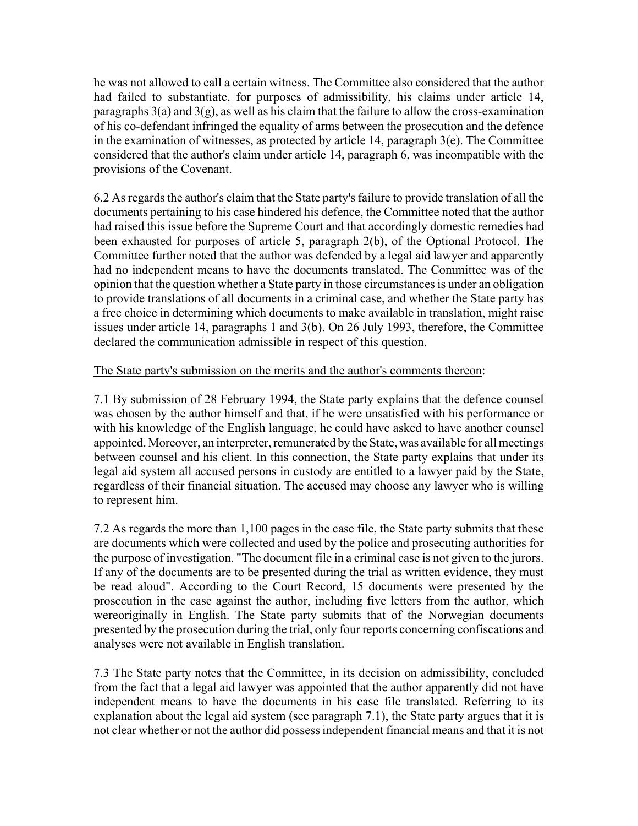he was not allowed to call a certain witness. The Committee also considered that the author had failed to substantiate, for purposes of admissibility, his claims under article 14, paragraphs  $3(a)$  and  $3(g)$ , as well as his claim that the failure to allow the cross-examination of his co-defendant infringed the equality of arms between the prosecution and the defence in the examination of witnesses, as protected by article 14, paragraph 3(e). The Committee considered that the author's claim under article 14, paragraph 6, was incompatible with the provisions of the Covenant.

6.2 As regards the author's claim that the State party's failure to provide translation of all the documents pertaining to his case hindered his defence, the Committee noted that the author had raised this issue before the Supreme Court and that accordingly domestic remedies had been exhausted for purposes of article 5, paragraph 2(b), of the Optional Protocol. The Committee further noted that the author was defended by a legal aid lawyer and apparently had no independent means to have the documents translated. The Committee was of the opinion that the question whether a State party in those circumstances is under an obligation to provide translations of all documents in a criminal case, and whether the State party has a free choice in determining which documents to make available in translation, might raise issues under article 14, paragraphs 1 and 3(b). On 26 July 1993, therefore, the Committee declared the communication admissible in respect of this question.

#### The State party's submission on the merits and the author's comments thereon:

7.1 By submission of 28 February 1994, the State party explains that the defence counsel was chosen by the author himself and that, if he were unsatisfied with his performance or with his knowledge of the English language, he could have asked to have another counsel appointed. Moreover, an interpreter, remunerated by the State, was available for all meetings between counsel and his client. In this connection, the State party explains that under its legal aid system all accused persons in custody are entitled to a lawyer paid by the State, regardless of their financial situation. The accused may choose any lawyer who is willing to represent him.

7.2 As regards the more than 1,100 pages in the case file, the State party submits that these are documents which were collected and used by the police and prosecuting authorities for the purpose of investigation. "The document file in a criminal case is not given to the jurors. If any of the documents are to be presented during the trial as written evidence, they must be read aloud". According to the Court Record, 15 documents were presented by the prosecution in the case against the author, including five letters from the author, which wereoriginally in English. The State party submits that of the Norwegian documents presented by the prosecution during the trial, only four reports concerning confiscations and analyses were not available in English translation.

7.3 The State party notes that the Committee, in its decision on admissibility, concluded from the fact that a legal aid lawyer was appointed that the author apparently did not have independent means to have the documents in his case file translated. Referring to its explanation about the legal aid system (see paragraph 7.1), the State party argues that it is not clear whether or not the author did possess independent financial means and that it is not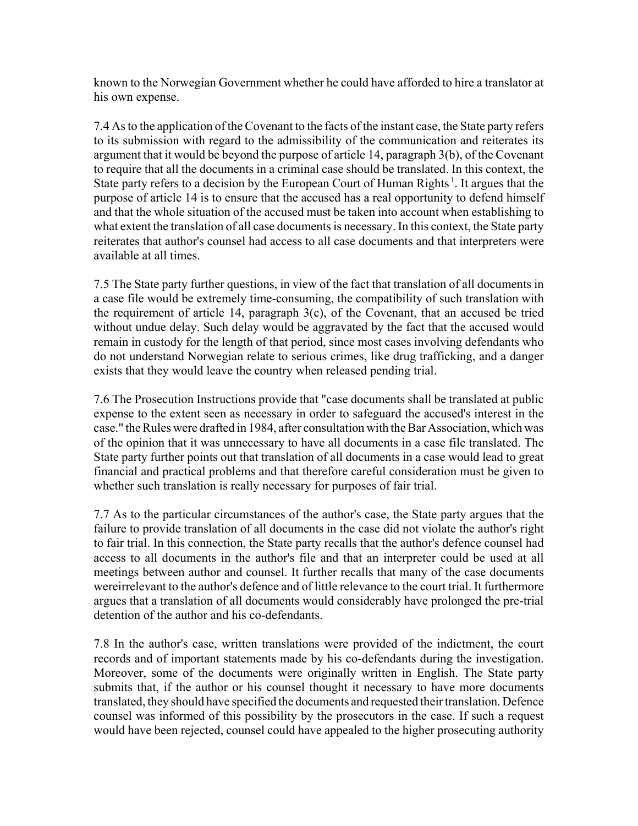known to the Norwegian Government whether he could have afforded to hire a translator at his own expense.

7.4 As to the application of the Covenant to the facts of the instant case, the State party refers to its submission with regard to the admissibility of the communication and reiterates its argument that it would be beyond the purpose of article 14, paragraph 3(b), of the Covenant to require that all the documents in a criminal case should be translated. In this context, the State party refers to a decision by the European Court of Human Rights<sup>1</sup>. It argues that the purpose of article 14 is to ensure that the accused has a real opportunity to defend himself and that the whole situation of the accused must be taken into account when establishing to what extent the translation of all case documents is necessary. In this context, the State party reiterates that author's counsel had access to all case documents and that interpreters were available at all times.

7.5 The State party further questions, in view of the fact that translation of all documents in a case file would be extremely time-consuming, the compatibility of such translation with the requirement of article 14, paragraph 3(c), of the Covenant, that an accused be tried without undue delay. Such delay would be aggravated by the fact that the accused would remain in custody for the length of that period, since most cases involving defendants who do not understand Norwegian relate to serious crimes, like drug trafficking, and a danger exists that they would leave the country when released pending trial.

7.6 The Prosecution Instructions provide that "case documents shall be translated at public expense to the extent seen as necessary in order to safeguard the accused's interest in the case." the Rules were drafted in 1984, after consultation with the Bar Association, which was of the opinion that it was unnecessary to have all documents in a case file translated. The State party further points out that translation of all documents in a case would lead to great financial and practical problems and that therefore careful consideration must be given to whether such translation is really necessary for purposes of fair trial.

7.7 As to the particular circumstances of the author's case, the State party argues that the failure to provide translation of all documents in the case did not violate the author's right to fair trial. In this connection, the State party recalls that the author's defence counsel had access to all documents in the author's file and that an interpreter could be used at all meetings between author and counsel. It further recalls that many of the case documents wereirrelevant to the author's defence and of little relevance to the court trial. It furthermore argues that a translation of all documents would considerably have prolonged the pre-trial detention of the author and his co-defendants.

7.8 In the author's case, written translations were provided of the indictment, the court records and of important statements made by his co-defendants during the investigation. Moreover, some of the documents were originally written in English. The State party submits that, if the author or his counsel thought it necessary to have more documents translated, they should have specified the documents and requested their translation. Defence counsel was informed of this possibility by the prosecutors in the case. If such a request would have been rejected, counsel could have appealed to the higher prosecuting authority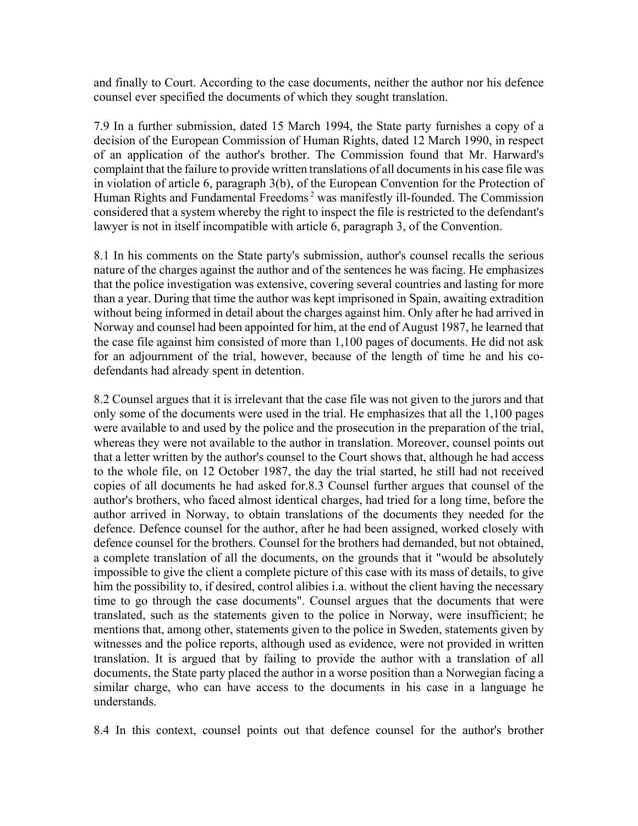and finally to Court. According to the case documents, neither the author nor his defence counsel ever specified the documents of which they sought translation.

7.9 In a further submission, dated 15 March 1994, the State party furnishes a copy of a decision of the European Commission of Human Rights, dated 12 March 1990, in respect of an application of the author's brother. The Commission found that Mr. Harward's complaint that the failure to provide written translations of all documents in his case file was in violation of article 6, paragraph 3(b), of the European Convention for the Protection of Human Rights and Fundamental Freedoms<sup>2</sup> was manifestly ill-founded. The Commission considered that a system whereby the right to inspect the file is restricted to the defendant's lawyer is not in itself incompatible with article 6, paragraph 3, of the Convention.

8.1 In his comments on the State party's submission, author's counsel recalls the serious nature of the charges against the author and of the sentences he was facing. He emphasizes that the police investigation was extensive, covering several countries and lasting for more than a year. During that time the author was kept imprisoned in Spain, awaiting extradition without being informed in detail about the charges against him. Only after he had arrived in Norway and counsel had been appointed for him, at the end of August 1987, he learned that the case file against him consisted of more than 1,100 pages of documents. He did not ask for an adjournment of the trial, however, because of the length of time he and his codefendants had already spent in detention.

8.2 Counsel argues that it is irrelevant that the case file was not given to the jurors and that only some of the documents were used in the trial. He emphasizes that all the 1,100 pages were available to and used by the police and the prosecution in the preparation of the trial, whereas they were not available to the author in translation. Moreover, counsel points out that a letter written by the author's counsel to the Court shows that, although he had access to the whole file, on 12 October 1987, the day the trial started, he still had not received copies of all documents he had asked for.8.3 Counsel further argues that counsel of the author's brothers, who faced almost identical charges, had tried for a long time, before the author arrived in Norway, to obtain translations of the documents they needed for the defence. Defence counsel for the author, after he had been assigned, worked closely with defence counsel for the brothers. Counsel for the brothers had demanded, but not obtained, a complete translation of all the documents, on the grounds that it "would be absolutely impossible to give the client a complete picture of this case with its mass of details, to give him the possibility to, if desired, control alibies i.a. without the client having the necessary time to go through the case documents". Counsel argues that the documents that were translated, such as the statements given to the police in Norway, were insufficient; he mentions that, among other, statements given to the police in Sweden, statements given by witnesses and the police reports, although used as evidence, were not provided in written translation. It is argued that by failing to provide the author with a translation of all documents, the State party placed the author in a worse position than a Norwegian facing a similar charge, who can have access to the documents in his case in a language he understands.

8.4 In this context, counsel points out that defence counsel for the author's brother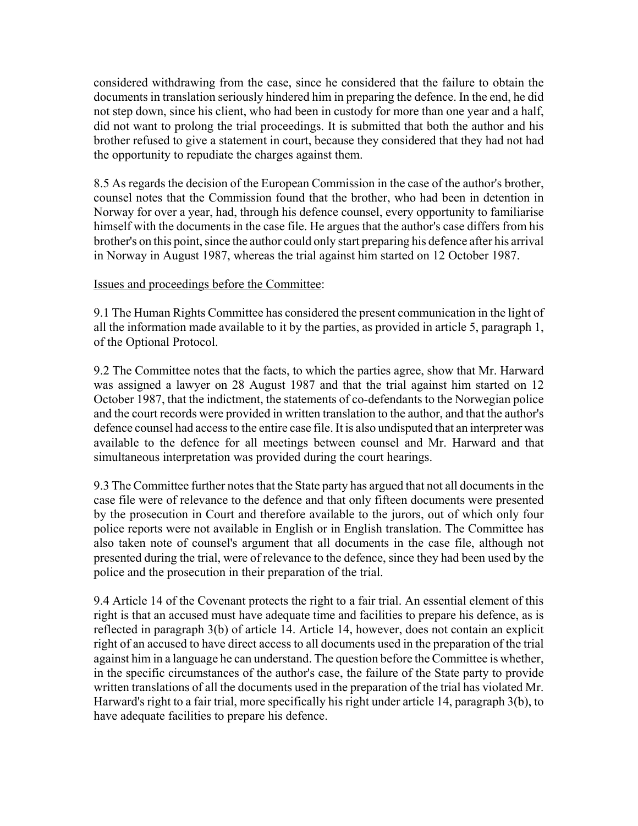considered withdrawing from the case, since he considered that the failure to obtain the documents in translation seriously hindered him in preparing the defence. In the end, he did not step down, since his client, who had been in custody for more than one year and a half, did not want to prolong the trial proceedings. It is submitted that both the author and his brother refused to give a statement in court, because they considered that they had not had the opportunity to repudiate the charges against them.

8.5 As regards the decision of the European Commission in the case of the author's brother, counsel notes that the Commission found that the brother, who had been in detention in Norway for over a year, had, through his defence counsel, every opportunity to familiarise himself with the documents in the case file. He argues that the author's case differs from his brother's on this point, since the author could only start preparing his defence after his arrival in Norway in August 1987, whereas the trial against him started on 12 October 1987.

### Issues and proceedings before the Committee:

9.1 The Human Rights Committee has considered the present communication in the light of all the information made available to it by the parties, as provided in article 5, paragraph 1, of the Optional Protocol.

9.2 The Committee notes that the facts, to which the parties agree, show that Mr. Harward was assigned a lawyer on 28 August 1987 and that the trial against him started on 12 October 1987, that the indictment, the statements of co-defendants to the Norwegian police and the court records were provided in written translation to the author, and that the author's defence counsel had access to the entire case file. It is also undisputed that an interpreter was available to the defence for all meetings between counsel and Mr. Harward and that simultaneous interpretation was provided during the court hearings.

9.3 The Committee further notes that the State party has argued that not all documents in the case file were of relevance to the defence and that only fifteen documents were presented by the prosecution in Court and therefore available to the jurors, out of which only four police reports were not available in English or in English translation. The Committee has also taken note of counsel's argument that all documents in the case file, although not presented during the trial, were of relevance to the defence, since they had been used by the police and the prosecution in their preparation of the trial.

9.4 Article 14 of the Covenant protects the right to a fair trial. An essential element of this right is that an accused must have adequate time and facilities to prepare his defence, as is reflected in paragraph 3(b) of article 14. Article 14, however, does not contain an explicit right of an accused to have direct access to all documents used in the preparation of the trial against him in a language he can understand. The question before the Committee is whether, in the specific circumstances of the author's case, the failure of the State party to provide written translations of all the documents used in the preparation of the trial has violated Mr. Harward's right to a fair trial, more specifically his right under article 14, paragraph 3(b), to have adequate facilities to prepare his defence.